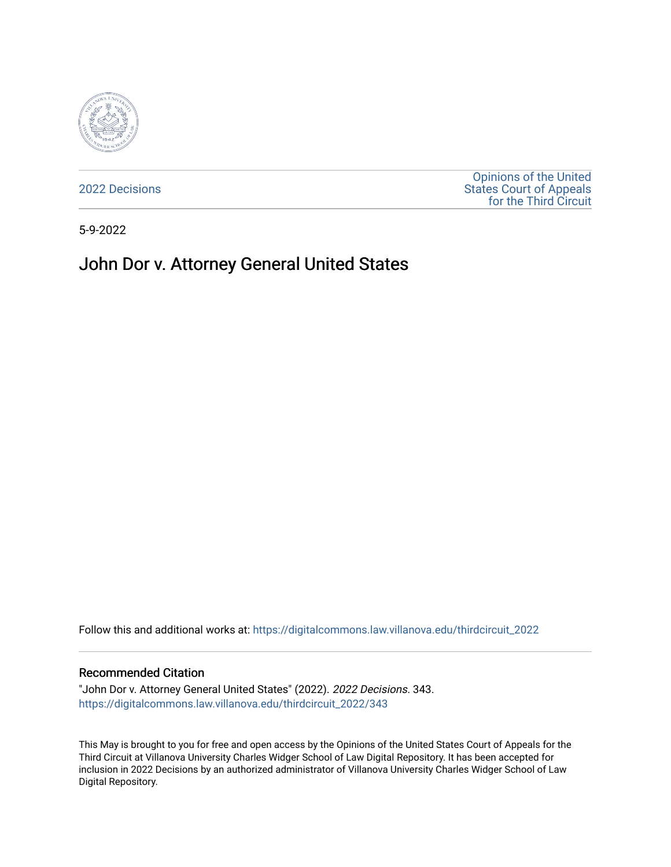

[2022 Decisions](https://digitalcommons.law.villanova.edu/thirdcircuit_2022)

[Opinions of the United](https://digitalcommons.law.villanova.edu/thirdcircuit)  [States Court of Appeals](https://digitalcommons.law.villanova.edu/thirdcircuit)  [for the Third Circuit](https://digitalcommons.law.villanova.edu/thirdcircuit) 

5-9-2022

# John Dor v. Attorney General United States

Follow this and additional works at: [https://digitalcommons.law.villanova.edu/thirdcircuit\\_2022](https://digitalcommons.law.villanova.edu/thirdcircuit_2022?utm_source=digitalcommons.law.villanova.edu%2Fthirdcircuit_2022%2F343&utm_medium=PDF&utm_campaign=PDFCoverPages) 

#### Recommended Citation

"John Dor v. Attorney General United States" (2022). 2022 Decisions. 343. [https://digitalcommons.law.villanova.edu/thirdcircuit\\_2022/343](https://digitalcommons.law.villanova.edu/thirdcircuit_2022/343?utm_source=digitalcommons.law.villanova.edu%2Fthirdcircuit_2022%2F343&utm_medium=PDF&utm_campaign=PDFCoverPages)

This May is brought to you for free and open access by the Opinions of the United States Court of Appeals for the Third Circuit at Villanova University Charles Widger School of Law Digital Repository. It has been accepted for inclusion in 2022 Decisions by an authorized administrator of Villanova University Charles Widger School of Law Digital Repository.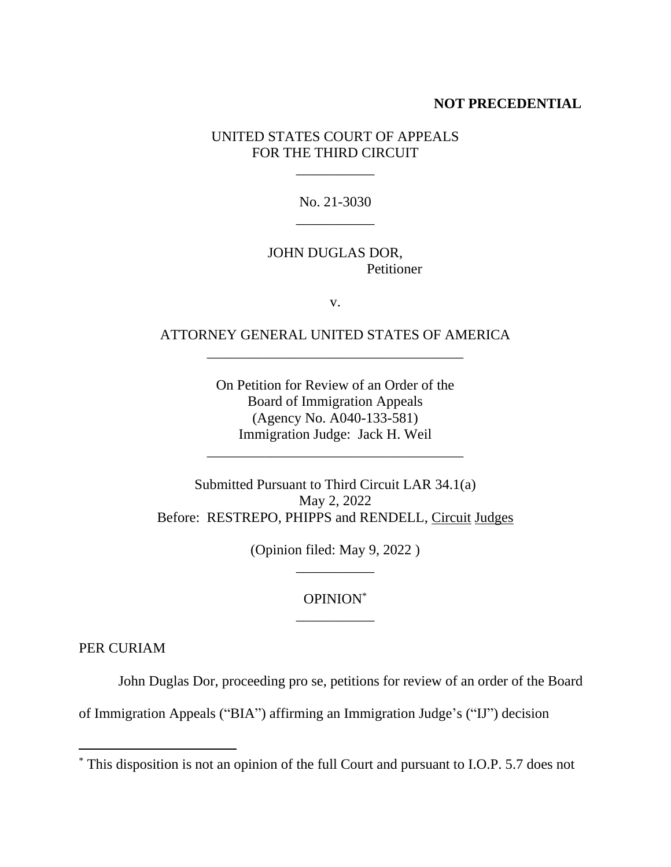### **NOT PRECEDENTIAL**

UNITED STATES COURT OF APPEALS FOR THE THIRD CIRCUIT

\_\_\_\_\_\_\_\_\_\_\_

No. 21-3030 \_\_\_\_\_\_\_\_\_\_\_

### JOHN DUGLAS DOR, **Petitioner**

v.

## ATTORNEY GENERAL UNITED STATES OF AMERICA \_\_\_\_\_\_\_\_\_\_\_\_\_\_\_\_\_\_\_\_\_\_\_\_\_\_\_\_\_\_\_\_\_\_\_\_

On Petition for Review of an Order of the Board of Immigration Appeals (Agency No. A040-133-581) Immigration Judge: Jack H. Weil

\_\_\_\_\_\_\_\_\_\_\_\_\_\_\_\_\_\_\_\_\_\_\_\_\_\_\_\_\_\_\_\_\_\_\_\_

Submitted Pursuant to Third Circuit LAR 34.1(a) May 2, 2022 Before: RESTREPO, PHIPPS and RENDELL, Circuit Judges

> (Opinion filed: May 9, 2022 ) \_\_\_\_\_\_\_\_\_\_\_

## OPINION\* \_\_\_\_\_\_\_\_\_\_\_

PER CURIAM

John Duglas Dor, proceeding pro se, petitions for review of an order of the Board

of Immigration Appeals ("BIA") affirming an Immigration Judge's ("IJ") decision

<sup>\*</sup> This disposition is not an opinion of the full Court and pursuant to I.O.P. 5.7 does not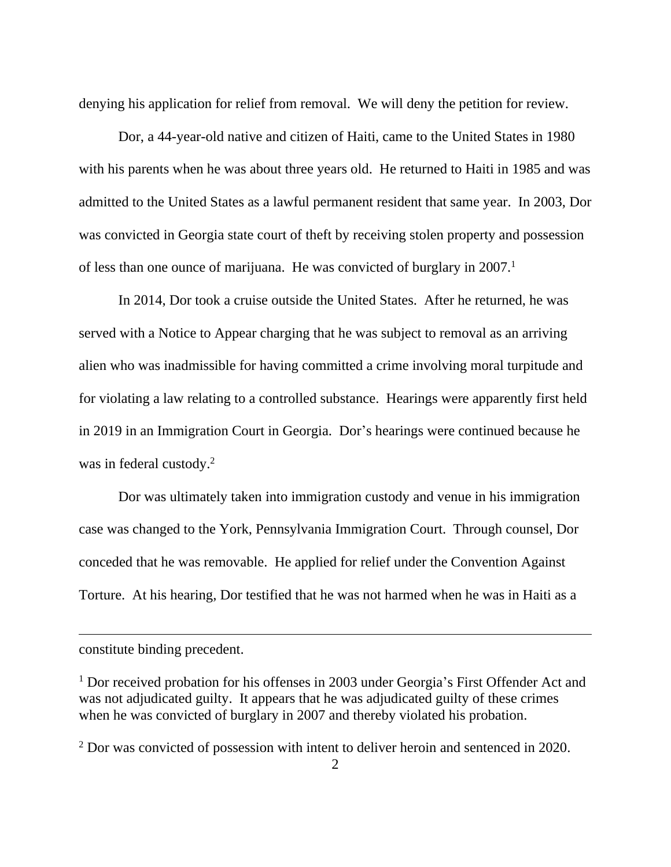denying his application for relief from removal. We will deny the petition for review.

Dor, a 44-year-old native and citizen of Haiti, came to the United States in 1980 with his parents when he was about three years old. He returned to Haiti in 1985 and was admitted to the United States as a lawful permanent resident that same year. In 2003, Dor was convicted in Georgia state court of theft by receiving stolen property and possession of less than one ounce of marijuana. He was convicted of burglary in 2007.<sup>1</sup>

In 2014, Dor took a cruise outside the United States. After he returned, he was served with a Notice to Appear charging that he was subject to removal as an arriving alien who was inadmissible for having committed a crime involving moral turpitude and for violating a law relating to a controlled substance. Hearings were apparently first held in 2019 in an Immigration Court in Georgia. Dor's hearings were continued because he was in federal custody. 2

Dor was ultimately taken into immigration custody and venue in his immigration case was changed to the York, Pennsylvania Immigration Court. Through counsel, Dor conceded that he was removable. He applied for relief under the Convention Against Torture. At his hearing, Dor testified that he was not harmed when he was in Haiti as a

constitute binding precedent.

<sup>&</sup>lt;sup>1</sup> Dor received probation for his offenses in 2003 under Georgia's First Offender Act and was not adjudicated guilty. It appears that he was adjudicated guilty of these crimes when he was convicted of burglary in 2007 and thereby violated his probation.

<sup>&</sup>lt;sup>2</sup> Dor was convicted of possession with intent to deliver heroin and sentenced in 2020.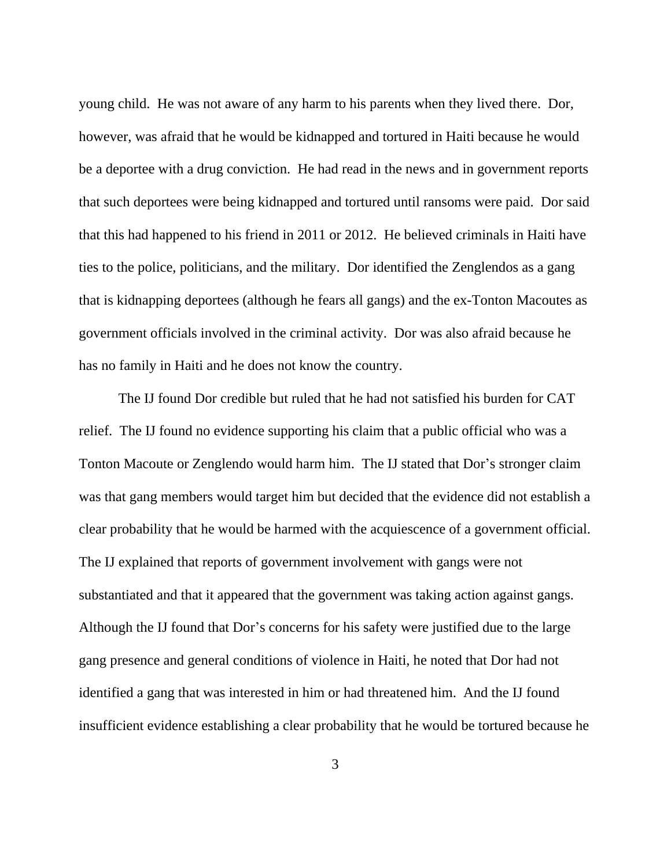young child. He was not aware of any harm to his parents when they lived there. Dor, however, was afraid that he would be kidnapped and tortured in Haiti because he would be a deportee with a drug conviction. He had read in the news and in government reports that such deportees were being kidnapped and tortured until ransoms were paid. Dor said that this had happened to his friend in 2011 or 2012. He believed criminals in Haiti have ties to the police, politicians, and the military. Dor identified the Zenglendos as a gang that is kidnapping deportees (although he fears all gangs) and the ex-Tonton Macoutes as government officials involved in the criminal activity. Dor was also afraid because he has no family in Haiti and he does not know the country.

The IJ found Dor credible but ruled that he had not satisfied his burden for CAT relief. The IJ found no evidence supporting his claim that a public official who was a Tonton Macoute or Zenglendo would harm him. The IJ stated that Dor's stronger claim was that gang members would target him but decided that the evidence did not establish a clear probability that he would be harmed with the acquiescence of a government official. The IJ explained that reports of government involvement with gangs were not substantiated and that it appeared that the government was taking action against gangs. Although the IJ found that Dor's concerns for his safety were justified due to the large gang presence and general conditions of violence in Haiti, he noted that Dor had not identified a gang that was interested in him or had threatened him. And the IJ found insufficient evidence establishing a clear probability that he would be tortured because he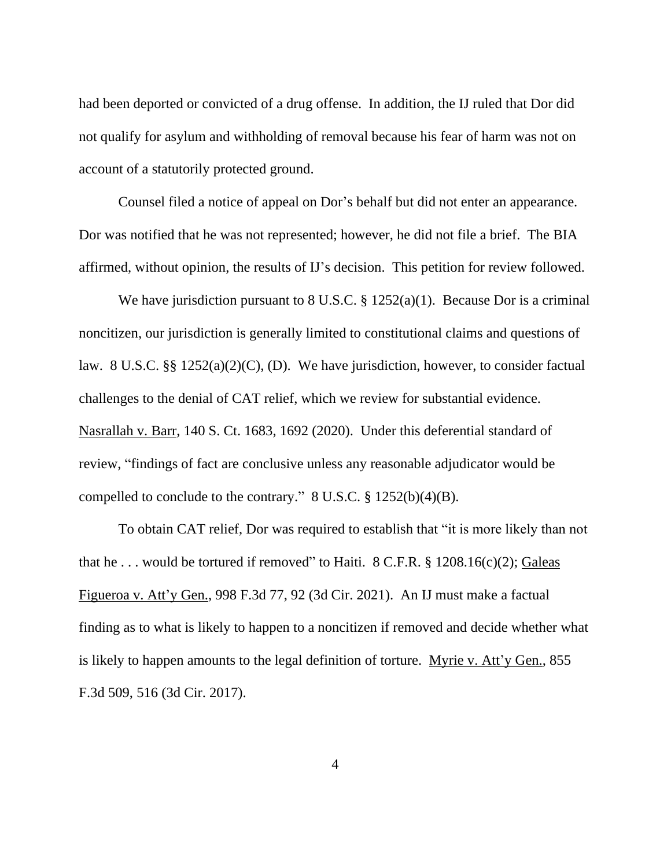had been deported or convicted of a drug offense. In addition, the IJ ruled that Dor did not qualify for asylum and withholding of removal because his fear of harm was not on account of a statutorily protected ground.

Counsel filed a notice of appeal on Dor's behalf but did not enter an appearance. Dor was notified that he was not represented; however, he did not file a brief. The BIA affirmed, without opinion, the results of IJ's decision. This petition for review followed.

We have jurisdiction pursuant to 8 U.S.C. § 1252(a)(1). Because Dor is a criminal noncitizen, our jurisdiction is generally limited to constitutional claims and questions of law. 8 U.S.C. §§ 1252(a)(2)(C), (D). We have jurisdiction, however, to consider factual challenges to the denial of CAT relief, which we review for substantial evidence. Nasrallah v. Barr, 140 S. Ct. 1683, 1692 (2020). Under this deferential standard of review, "findings of fact are conclusive unless any reasonable adjudicator would be compelled to conclude to the contrary." 8 U.S.C. § 1252(b)(4)(B).

To obtain CAT relief, Dor was required to establish that "it is more likely than not that he ... would be tortured if removed" to Haiti.  $8$  C.F.R.  $\S$  1208.16(c)(2); Galeas Figueroa v. Att'y Gen., 998 F.3d 77, 92 (3d Cir. 2021). An IJ must make a factual finding as to what is likely to happen to a noncitizen if removed and decide whether what is likely to happen amounts to the legal definition of torture. Myrie v. Att'y Gen., 855 F.3d 509, 516 (3d Cir. 2017).

4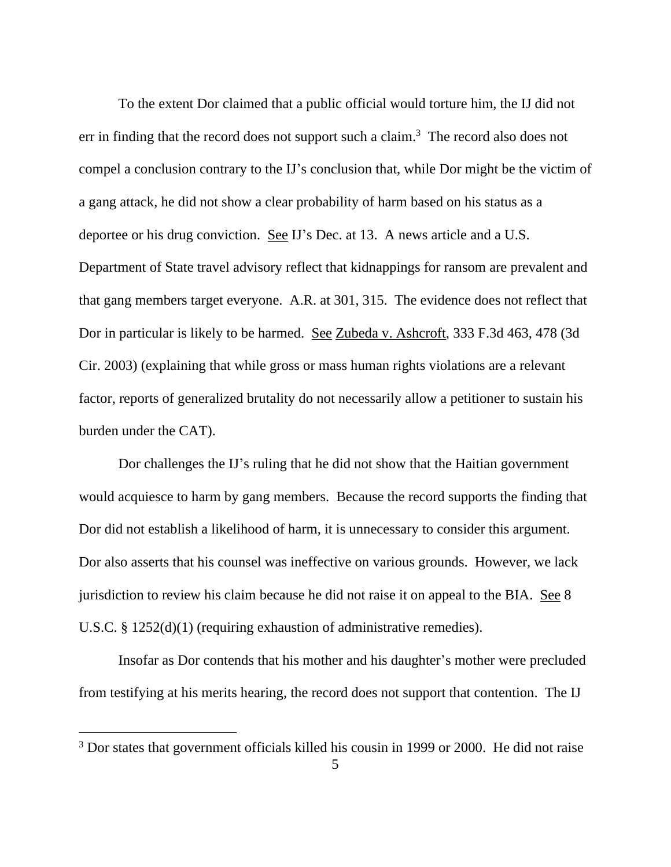To the extent Dor claimed that a public official would torture him, the IJ did not err in finding that the record does not support such a claim.<sup>3</sup> The record also does not compel a conclusion contrary to the IJ's conclusion that, while Dor might be the victim of a gang attack, he did not show a clear probability of harm based on his status as a deportee or his drug conviction. See IJ's Dec. at 13. A news article and a U.S. Department of State travel advisory reflect that kidnappings for ransom are prevalent and that gang members target everyone. A.R. at 301, 315. The evidence does not reflect that Dor in particular is likely to be harmed. See Zubeda v. Ashcroft, 333 F.3d 463, 478 (3d Cir. 2003) (explaining that while gross or mass human rights violations are a relevant factor, reports of generalized brutality do not necessarily allow a petitioner to sustain his burden under the CAT).

Dor challenges the IJ's ruling that he did not show that the Haitian government would acquiesce to harm by gang members. Because the record supports the finding that Dor did not establish a likelihood of harm, it is unnecessary to consider this argument. Dor also asserts that his counsel was ineffective on various grounds. However, we lack jurisdiction to review his claim because he did not raise it on appeal to the BIA. See 8 U.S.C. § 1252(d)(1) (requiring exhaustion of administrative remedies).

Insofar as Dor contends that his mother and his daughter's mother were precluded from testifying at his merits hearing, the record does not support that contention. The IJ

<sup>&</sup>lt;sup>3</sup> Dor states that government officials killed his cousin in 1999 or 2000. He did not raise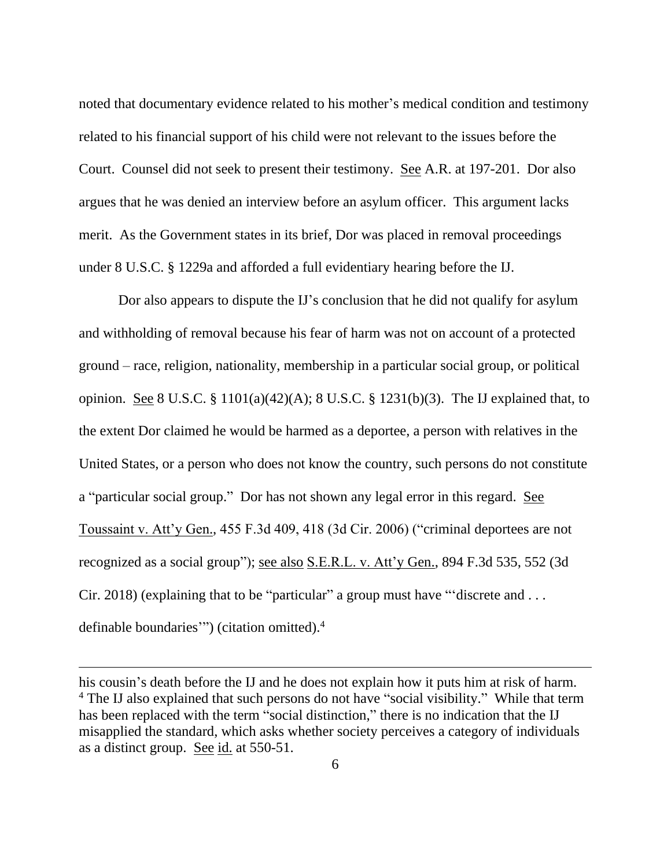noted that documentary evidence related to his mother's medical condition and testimony related to his financial support of his child were not relevant to the issues before the Court. Counsel did not seek to present their testimony. See A.R. at 197-201. Dor also argues that he was denied an interview before an asylum officer. This argument lacks merit. As the Government states in its brief, Dor was placed in removal proceedings under 8 U.S.C. § 1229a and afforded a full evidentiary hearing before the IJ.

Dor also appears to dispute the IJ's conclusion that he did not qualify for asylum and withholding of removal because his fear of harm was not on account of a protected ground – race, religion, nationality, membership in a particular social group, or political opinion. See 8 U.S.C. § 1101(a)(42)(A); 8 U.S.C. § 1231(b)(3). The IJ explained that, to the extent Dor claimed he would be harmed as a deportee, a person with relatives in the United States, or a person who does not know the country, such persons do not constitute a "particular social group." Dor has not shown any legal error in this regard. See Toussaint v. Att'y Gen., 455 F.3d 409, 418 (3d Cir. 2006) ("criminal deportees are not recognized as a social group"); see also S.E.R.L. v. Att'y Gen., 894 F.3d 535, 552 (3d Cir. 2018) (explaining that to be "particular" a group must have "'discrete and . . . definable boundaries'") (citation omitted). 4

his cousin's death before the IJ and he does not explain how it puts him at risk of harm. <sup>4</sup> The IJ also explained that such persons do not have "social visibility." While that term has been replaced with the term "social distinction," there is no indication that the IJ misapplied the standard, which asks whether society perceives a category of individuals as a distinct group. See id. at 550-51.